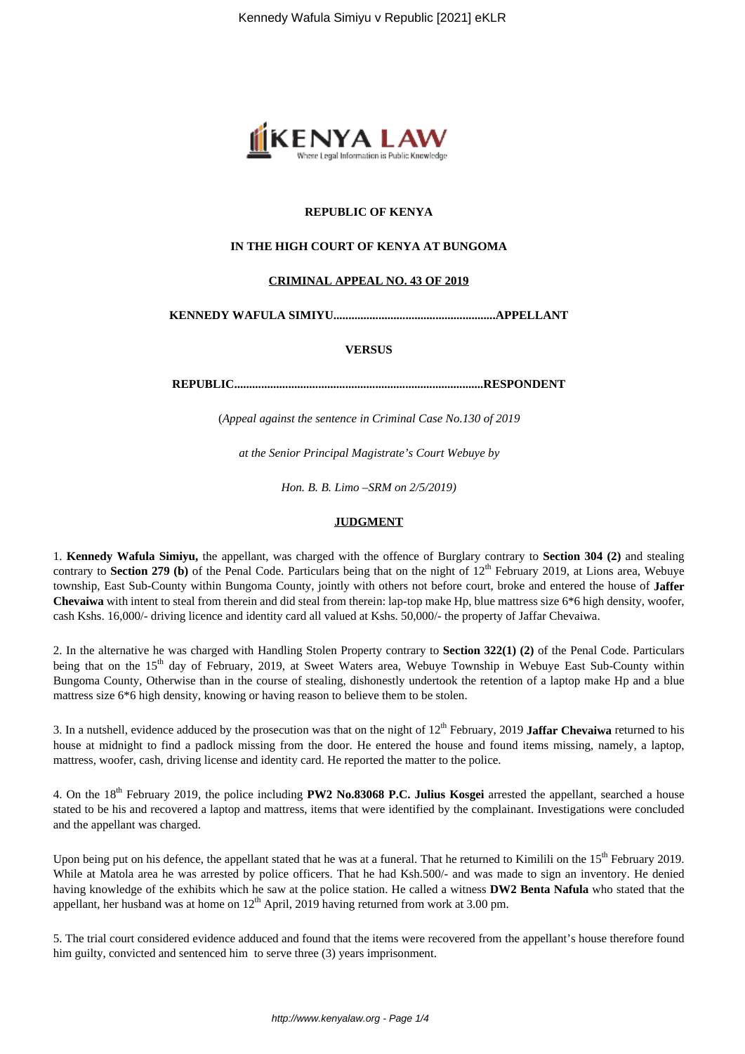

### **REPUBLIC OF KENYA**

### **IN THE HIGH COURT OF KENYA AT BUNGOMA**

#### **CRIMINAL APPEAL NO. 43 OF 2019**

**KENNEDY WAFULA SIMIYU......................................................APPELLANT**

#### **VERSUS**

**REPUBLIC...................................................................................RESPONDENT**

(*Appeal against the sentence in Criminal Case No.130 of 2019*

*at the Senior Principal Magistrate's Court Webuye by*

*Hon. B. B. Limo –SRM on 2/5/2019)*

#### **JUDGMENT**

1. **Kennedy Wafula Simiyu,** the appellant, was charged with the offence of Burglary contrary to **Section 304 (2)** and stealing contrary to **Section 279 (b)** of the Penal Code. Particulars being that on the night of 12<sup>th</sup> February 2019, at Lions area, Webuye township, East Sub-County within Bungoma County, jointly with others not before court, broke and entered the house of **Jaffer Chevaiwa** with intent to steal from therein and did steal from therein: lap-top make Hp, blue mattress size 6\*6 high density, woofer, cash Kshs. 16,000/- driving licence and identity card all valued at Kshs. 50,000/- the property of Jaffar Chevaiwa.

2. In the alternative he was charged with Handling Stolen Property contrary to **Section 322(1) (2)** of the Penal Code. Particulars being that on the 15<sup>th</sup> day of February, 2019, at Sweet Waters area, Webuye Township in Webuye East Sub-County within Bungoma County, Otherwise than in the course of stealing, dishonestly undertook the retention of a laptop make Hp and a blue mattress size 6\*6 high density, knowing or having reason to believe them to be stolen.

3. In a nutshell, evidence adduced by the prosecution was that on the night of 12<sup>th</sup> February, 2019 **Jaffar Chevaiwa** returned to his house at midnight to find a padlock missing from the door. He entered the house and found items missing, namely, a laptop, mattress, woofer, cash, driving license and identity card. He reported the matter to the police.

4. On the 18th February 2019, the police including **PW2 No.83068 P.C. Julius Kosgei** arrested the appellant, searched a house stated to be his and recovered a laptop and mattress, items that were identified by the complainant. Investigations were concluded and the appellant was charged.

Upon being put on his defence, the appellant stated that he was at a funeral. That he returned to Kimilili on the 15<sup>th</sup> February 2019. While at Matola area he was arrested by police officers. That he had Ksh.500/- and was made to sign an inventory. He denied having knowledge of the exhibits which he saw at the police station. He called a witness **DW2 Benta Nafula** who stated that the appellant, her husband was at home on  $12<sup>th</sup>$  April, 2019 having returned from work at 3.00 pm.

5. The trial court considered evidence adduced and found that the items were recovered from the appellant's house therefore found him guilty, convicted and sentenced him to serve three (3) years imprisonment.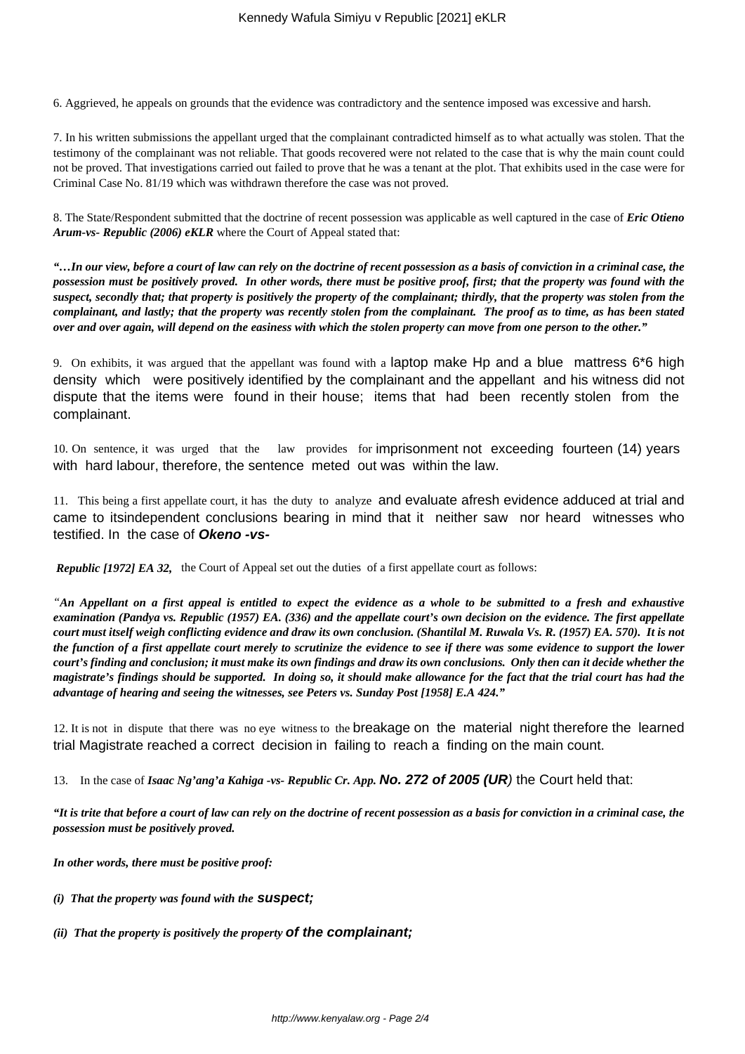6. Aggrieved, he appeals on grounds that the evidence was contradictory and the sentence imposed was excessive and harsh.

7. In his written submissions the appellant urged that the complainant contradicted himself as to what actually was stolen. That the testimony of the complainant was not reliable. That goods recovered were not related to the case that is why the main count could not be proved. That investigations carried out failed to prove that he was a tenant at the plot. That exhibits used in the case were for Criminal Case No. 81/19 which was withdrawn therefore the case was not proved.

8. The State/Respondent submitted that the doctrine of recent possession was applicable as well captured in the case of *Eric Otieno Arum-vs- Republic (2006) eKLR* where the Court of Appeal stated that:

*"…In our view, before a court of law can rely on the doctrine of recent possession as a basis of conviction in a criminal case, the possession must be positively proved. In other words, there must be positive proof, first; that the property was found with the suspect, secondly that; that property is positively the property of the complainant; thirdly, that the property was stolen from the complainant, and lastly; that the property was recently stolen from the complainant. The proof as to time, as has been stated over and over again, will depend on the easiness with which the stolen property can move from one person to the other."*

9. On exhibits, it was argued that the appellant was found with a laptop make Hp and a blue mattress 6\*6 high density which were positively identified by the complainant and the appellant and his witness did not dispute that the items were found in their house; items that had been recently stolen from the complainant.

10. On sentence, it was urged that the law provides for imprisonment not exceeding fourteen (14) years with hard labour, therefore, the sentence meted out was within the law.

11. This being a first appellate court, it has the duty to analyze and evaluate afresh evidence adduced at trial and came to itsindependent conclusions bearing in mind that it neither saw nor heard witnesses who testified. In the case of **Okeno -vs-**

*Republic [1972] EA 32,* the Court of Appeal set out the duties of a first appellate court as follows:

*"An Appellant on a first appeal is entitled to expect the evidence as a whole to be submitted to a fresh and exhaustive examination (Pandya vs. Republic (1957) EA. (336) and the appellate court's own decision on the evidence. The first appellate court must itself weigh conflicting evidence and draw its own conclusion. (Shantilal M. Ruwala Vs. R. (1957) EA. 570). It is not the function of a first appellate court merely to scrutinize the evidence to see if there was some evidence to support the lower court's finding and conclusion; it must make its own findings and draw its own conclusions. Only then can it decide whether the magistrate's findings should be supported. In doing so, it should make allowance for the fact that the trial court has had the advantage of hearing and seeing the witnesses, see Peters vs. Sunday Post [1958] E.A 424."*

12. It is not in dispute that there was no eye witness to the breakage on the material night therefore the learned trial Magistrate reached a correct decision in failing to reach a finding on the main count.

13. In the case of *Isaac Ng'ang'a Kahiga -vs- Republic Cr. App.* **No. 272 of 2005 (UR**) the Court held that:

*"It is trite that before a court of law can rely on the doctrine of recent possession as a basis for conviction in a criminal case, the possession must be positively proved.* 

*In other words, there must be positive proof:*

- *(i) That the property was found with the* **suspect;**
- *(ii) That the property is positively the property* **of the complainant;**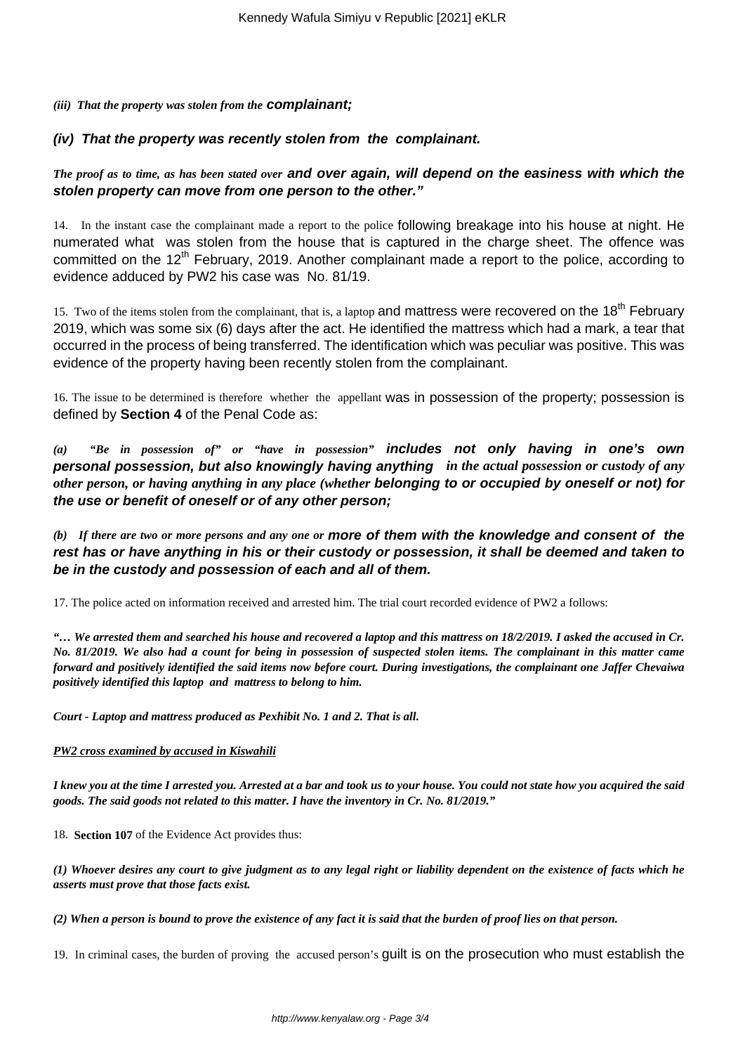### *(iii) That the property was stolen from the* **complainant;**

### **(iv) That the property was recently stolen from the complainant.**

### *The proof as to time, as has been stated over* **and over again, will depend on the easiness with which the stolen property can move from one person to the other."**

14. In the instant case the complainant made a report to the police following breakage into his house at night. He numerated what was stolen from the house that is captured in the charge sheet. The offence was committed on the 12<sup>th</sup> February, 2019. Another complainant made a report to the police, according to evidence adduced by PW2 his case was No. 81/19.

15. Two of the items stolen from the complainant, that is, a laptop and mattress were recovered on the 18<sup>th</sup> February 2019, which was some six (6) days after the act. He identified the mattress which had a mark, a tear that occurred in the process of being transferred. The identification which was peculiar was positive. This was evidence of the property having been recently stolen from the complainant.

16. The issue to be determined is therefore whether the appellant was in possession of the property; possession is defined by **Section 4** of the Penal Code as:

*(a) "Be in possession of" or "have in possession"* **includes not only having in one's own personal possession, but also knowingly having anything** *in the actual possession or custody of any other person, or having anything in any place (whether* **belonging to or occupied by oneself or not) for the use or benefit of oneself or of any other person;**

*(b) If there are two or more persons and any one or* **more of them with the knowledge and consent of the rest has or have anything in his or their custody or possession, it shall be deemed and taken to be in the custody and possession of each and all of them.**

17. The police acted on information received and arrested him. The trial court recorded evidence of PW2 a follows:

*"… We arrested them and searched his house and recovered a laptop and this mattress on 18/2/2019. I asked the accused in Cr. No. 81/2019. We also had a count for being in possession of suspected stolen items. The complainant in this matter came forward and positively identified the said items now before court. During investigations, the complainant one Jaffer Chevaiwa positively identified this laptop and mattress to belong to him.*

*Court - Laptop and mattress produced as Pexhibit No. 1 and 2. That is all.* 

### *PW2 cross examined by accused in Kiswahili*

*I knew you at the time I arrested you. Arrested at a bar and took us to your house. You could not state how you acquired the said goods. The said goods not related to this matter. I have the inventory in Cr. No. 81/2019."*

18. **Section 107** of the Evidence Act provides thus:

*(1) Whoever desires any court to give judgment as to any legal right or liability dependent on the existence of facts which he asserts must prove that those facts exist.*

*(2) When a person is bound to prove the existence of any fact it is said that the burden of proof lies on that person.*

19. In criminal cases, the burden of proving the accused person's guilt is on the prosecution who must establish the